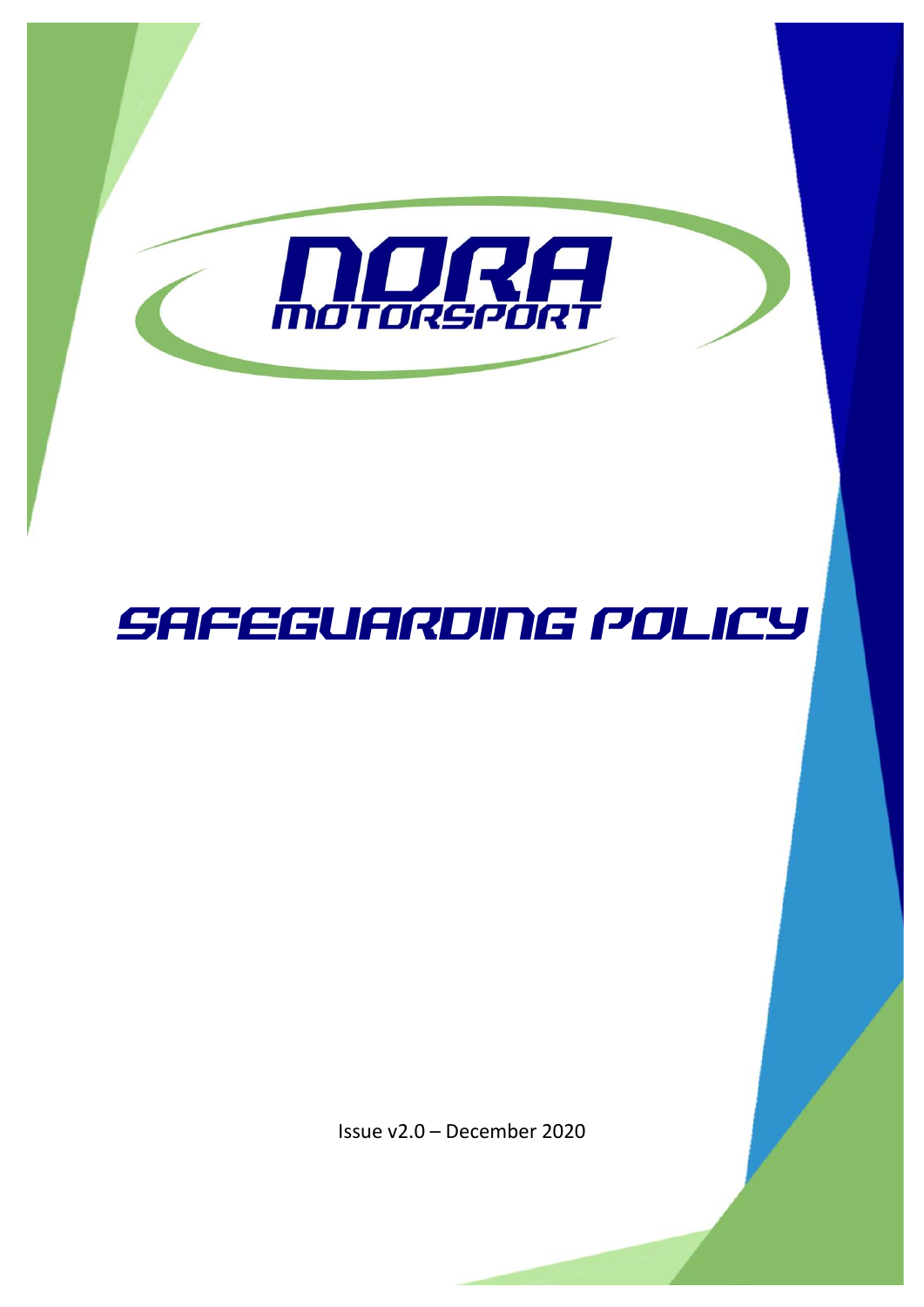

# SAFEGUARDING POLICY

Issue v2.0 – December 2020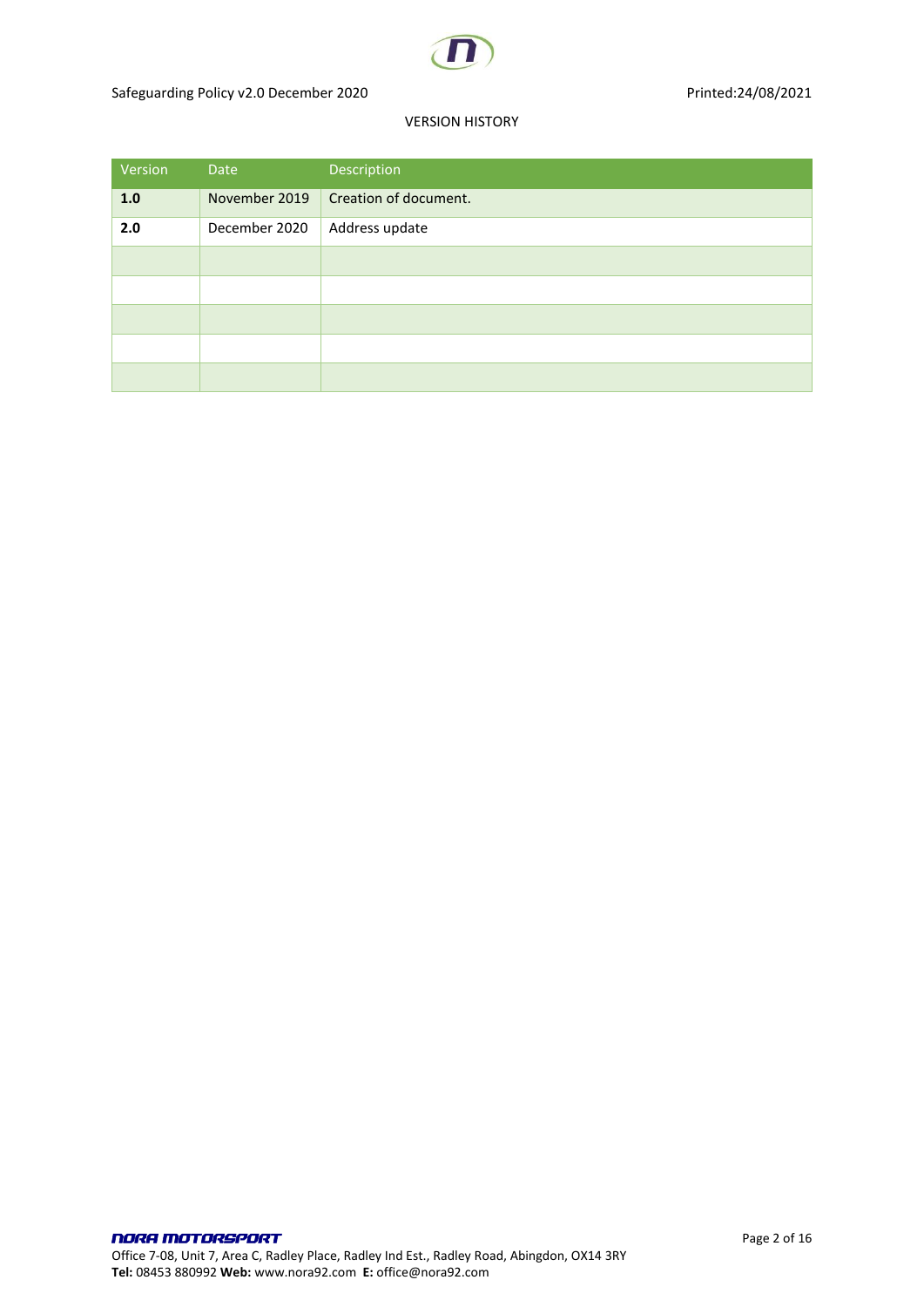

#### VERSION HISTORY

| Version | Date          | Description           |
|---------|---------------|-----------------------|
| 1.0     | November 2019 | Creation of document. |
| 2.0     | December 2020 | Address update        |
|         |               |                       |
|         |               |                       |
|         |               |                       |
|         |               |                       |
|         |               |                       |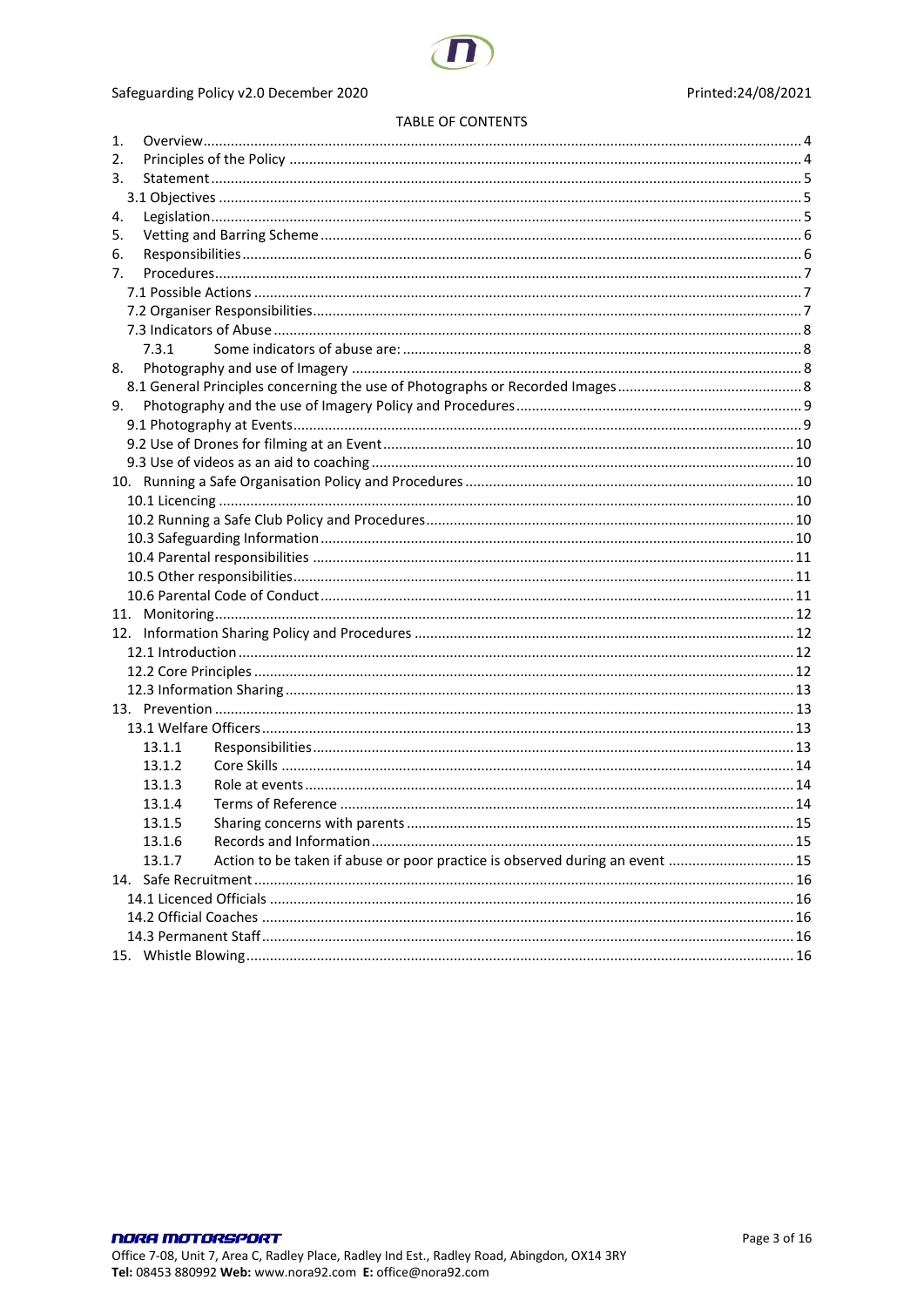

#### Safeguarding Policy v2.0 December 2020

#### **TABLE OF CONTENTS**

| 1.     |                                                                              |  |  |  |
|--------|------------------------------------------------------------------------------|--|--|--|
| 2.     |                                                                              |  |  |  |
| 3.     |                                                                              |  |  |  |
|        |                                                                              |  |  |  |
| 4.     |                                                                              |  |  |  |
| 5.     |                                                                              |  |  |  |
| 6.     |                                                                              |  |  |  |
| 7.     |                                                                              |  |  |  |
|        |                                                                              |  |  |  |
|        |                                                                              |  |  |  |
|        |                                                                              |  |  |  |
| 7.3.1  |                                                                              |  |  |  |
| 8.     |                                                                              |  |  |  |
|        |                                                                              |  |  |  |
| 9.     |                                                                              |  |  |  |
|        |                                                                              |  |  |  |
|        |                                                                              |  |  |  |
|        |                                                                              |  |  |  |
|        |                                                                              |  |  |  |
|        |                                                                              |  |  |  |
|        |                                                                              |  |  |  |
|        |                                                                              |  |  |  |
|        |                                                                              |  |  |  |
|        |                                                                              |  |  |  |
|        |                                                                              |  |  |  |
|        |                                                                              |  |  |  |
|        |                                                                              |  |  |  |
|        |                                                                              |  |  |  |
|        |                                                                              |  |  |  |
|        |                                                                              |  |  |  |
|        |                                                                              |  |  |  |
|        |                                                                              |  |  |  |
| 13.1.1 |                                                                              |  |  |  |
| 13.1.2 |                                                                              |  |  |  |
| 13.1.3 |                                                                              |  |  |  |
| 13.1.4 |                                                                              |  |  |  |
| 13.1.5 |                                                                              |  |  |  |
| 13.1.6 |                                                                              |  |  |  |
| 13.1.7 | Action to be taken if abuse or poor practice is observed during an event  15 |  |  |  |
|        |                                                                              |  |  |  |
|        |                                                                              |  |  |  |
|        |                                                                              |  |  |  |
|        |                                                                              |  |  |  |
|        |                                                                              |  |  |  |
|        |                                                                              |  |  |  |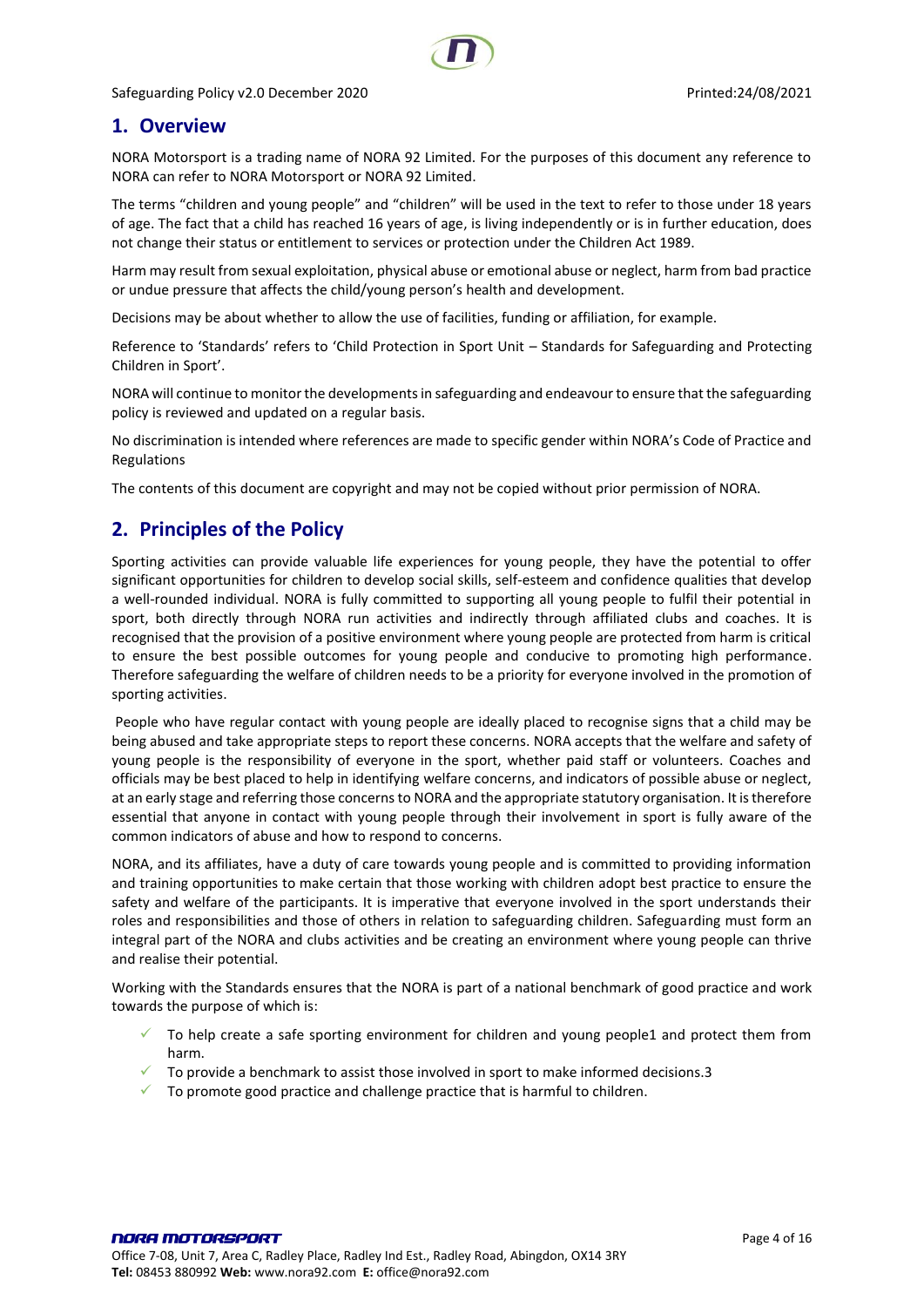## <span id="page-3-0"></span>**1. Overview**

NORA Motorsport is a trading name of NORA 92 Limited. For the purposes of this document any reference to NORA can refer to NORA Motorsport or NORA 92 Limited.

The terms "children and young people" and "children" will be used in the text to refer to those under 18 years of age. The fact that a child has reached 16 years of age, is living independently or is in further education, does not change their status or entitlement to services or protection under the Children Act 1989.

Harm may result from sexual exploitation, physical abuse or emotional abuse or neglect, harm from bad practice or undue pressure that affects the child/young person's health and development.

Decisions may be about whether to allow the use of facilities, funding or affiliation, for example.

Reference to 'Standards' refers to 'Child Protection in Sport Unit – Standards for Safeguarding and Protecting Children in Sport'.

NORA will continue to monitor the developments in safeguarding and endeavour to ensure that the safeguarding policy is reviewed and updated on a regular basis.

No discrimination is intended where references are made to specific gender within NORA's Code of Practice and Regulations

The contents of this document are copyright and may not be copied without prior permission of NORA.

## <span id="page-3-1"></span>**2. Principles of the Policy**

Sporting activities can provide valuable life experiences for young people, they have the potential to offer significant opportunities for children to develop social skills, self-esteem and confidence qualities that develop a well-rounded individual. NORA is fully committed to supporting all young people to fulfil their potential in sport, both directly through NORA run activities and indirectly through affiliated clubs and coaches. It is recognised that the provision of a positive environment where young people are protected from harm is critical to ensure the best possible outcomes for young people and conducive to promoting high performance. Therefore safeguarding the welfare of children needs to be a priority for everyone involved in the promotion of sporting activities.

People who have regular contact with young people are ideally placed to recognise signs that a child may be being abused and take appropriate steps to report these concerns. NORA accepts that the welfare and safety of young people is the responsibility of everyone in the sport, whether paid staff or volunteers. Coaches and officials may be best placed to help in identifying welfare concerns, and indicators of possible abuse or neglect, at an early stage and referring those concerns to NORA and the appropriate statutory organisation. It is therefore essential that anyone in contact with young people through their involvement in sport is fully aware of the common indicators of abuse and how to respond to concerns.

NORA, and its affiliates, have a duty of care towards young people and is committed to providing information and training opportunities to make certain that those working with children adopt best practice to ensure the safety and welfare of the participants. It is imperative that everyone involved in the sport understands their roles and responsibilities and those of others in relation to safeguarding children. Safeguarding must form an integral part of the NORA and clubs activities and be creating an environment where young people can thrive and realise their potential.

Working with the Standards ensures that the NORA is part of a national benchmark of good practice and work towards the purpose of which is:

- $\checkmark$  To help create a safe sporting environment for children and young people1 and protect them from harm.
- To provide a benchmark to assist those involved in sport to make informed decisions.3
- $\checkmark$  To promote good practice and challenge practice that is harmful to children.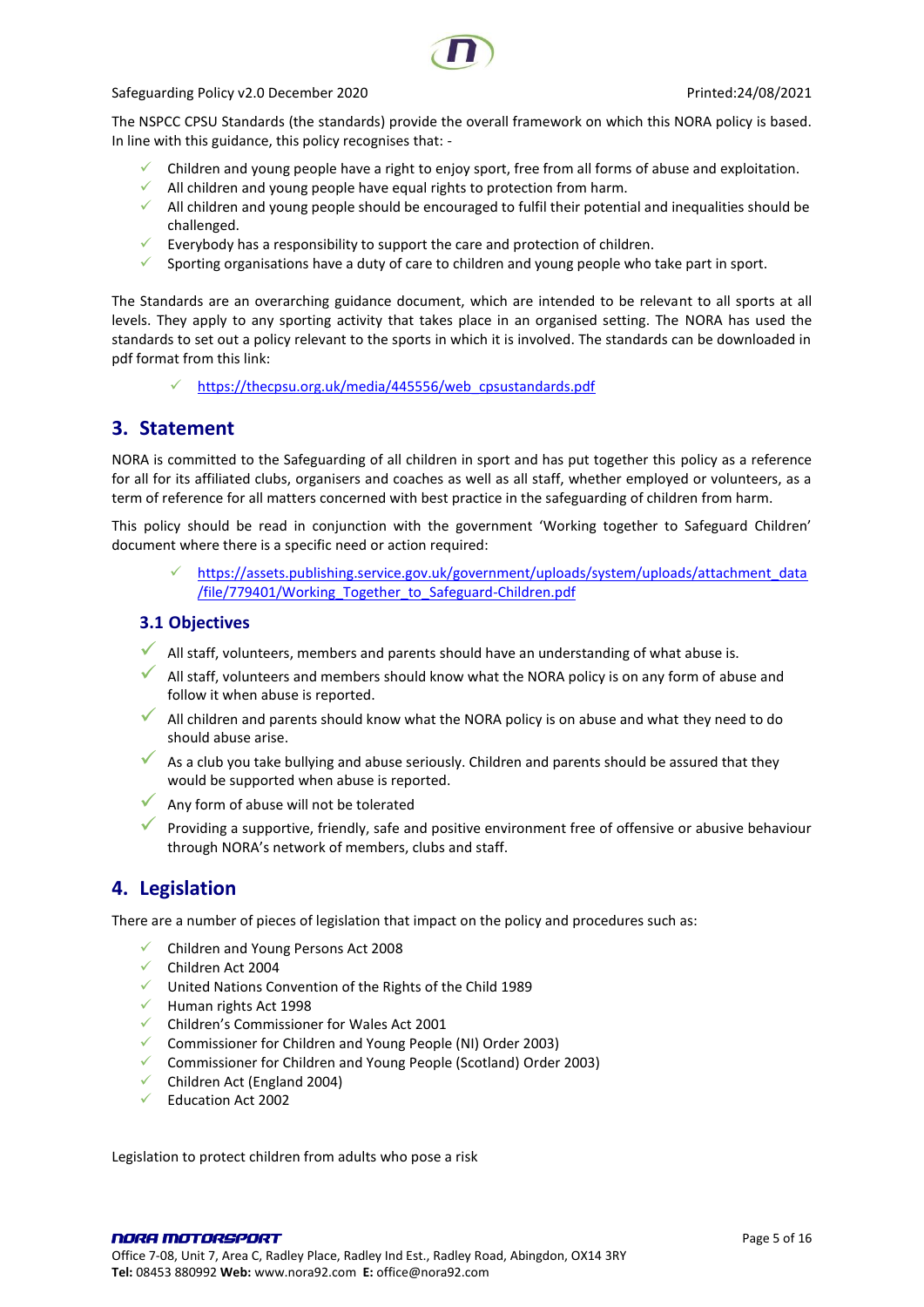The NSPCC CPSU Standards (the standards) provide the overall framework on which this NORA policy is based. In line with this guidance, this policy recognises that: -

- $\checkmark$  Children and young people have a right to enjoy sport, free from all forms of abuse and exploitation.
- $\checkmark$  All children and young people have equal rights to protection from harm.
- ✓ All children and young people should be encouraged to fulfil their potential and inequalities should be challenged.
- $\checkmark$  Everybody has a responsibility to support the care and protection of children.
- $\checkmark$  Sporting organisations have a duty of care to children and young people who take part in sport.

The Standards are an overarching guidance document, which are intended to be relevant to all sports at all levels. They apply to any sporting activity that takes place in an organised setting. The NORA has used the standards to set out a policy relevant to the sports in which it is involved. The standards can be downloaded in pdf format from this link:

✓ [https://thecpsu.org.uk/media/445556/web\\_cpsustandards.pdf](https://thecpsu.org.uk/media/445556/web_cpsustandards.pdf)

## <span id="page-4-0"></span>**3. Statement**

NORA is committed to the Safeguarding of all children in sport and has put together this policy as a reference for all for its affiliated clubs, organisers and coaches as well as all staff, whether employed or volunteers, as a term of reference for all matters concerned with best practice in the safeguarding of children from harm.

This policy should be read in conjunction with the government 'Working together to Safeguard Children' document where there is a specific need or action required:

[https://assets.publishing.service.gov.uk/government/uploads/system/uploads/attachment\\_data](https://assets.publishing.service.gov.uk/government/uploads/system/uploads/attachment_data/file/779401/Working_Together_to_Safeguard-Children.pdf) [/file/779401/Working\\_Together\\_to\\_Safeguard-Children.pdf](https://assets.publishing.service.gov.uk/government/uploads/system/uploads/attachment_data/file/779401/Working_Together_to_Safeguard-Children.pdf)

#### <span id="page-4-1"></span>**3.1 Objectives**

- ◆ All staff, volunteers, members and parents should have an understanding of what abuse is.
- All staff, volunteers and members should know what the NORA policy is on any form of abuse and follow it when abuse is reported.
- All children and parents should know what the NORA policy is on abuse and what they need to do should abuse arise.
- As a club you take bullying and abuse seriously. Children and parents should be assured that they would be supported when abuse is reported.
- Any form of abuse will not be tolerated
- Providing a supportive, friendly, safe and positive environment free of offensive or abusive behaviour through NORA's network of members, clubs and staff.

## <span id="page-4-2"></span>**4. Legislation**

There are a number of pieces of legislation that impact on the policy and procedures such as:

- ✓ Children and Young Persons Act 2008
- ✓ Children Act 2004
- ✓ United Nations Convention of the Rights of the Child 1989
- ✓ Human rights Act 1998
- ✓ Children's Commissioner for Wales Act 2001
- ✓ Commissioner for Children and Young People (NI) Order 2003)
- ✓ Commissioner for Children and Young People (Scotland) Order 2003)
- $\checkmark$  Children Act (England 2004)
- ✓ Education Act 2002

Legislation to protect children from adults who pose a risk

NORA MOTORSPORT Office 7-08, Unit 7, Area C, Radley Place, Radley Ind Est., Radley Road, Abingdon, OX14 3RY **Tel:** 08453 880992 **Web:** www.nora92.com **E:** office@nora92.com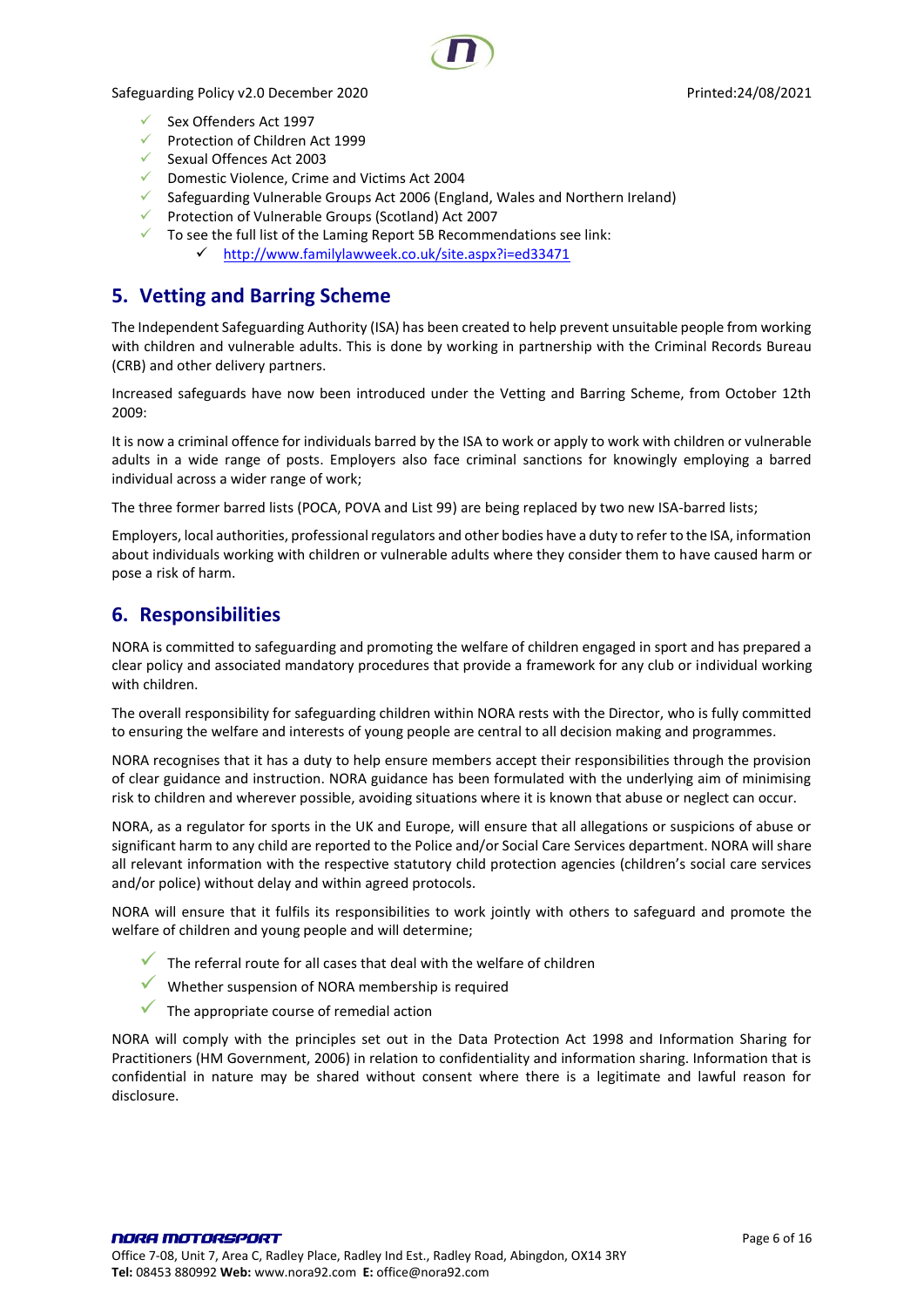- ✓ Sex Offenders Act 1997
- ✓ Protection of Children Act 1999
- ✓ Sexual Offences Act 2003
- ✓ Domestic Violence, Crime and Victims Act 2004
- $\checkmark$  Safeguarding Vulnerable Groups Act 2006 (England, Wales and Northern Ireland)
- ✓ Protection of Vulnerable Groups (Scotland) Act 2007
- $\checkmark$  To see the full list of the Laming Report 5B Recommendations see link:
	- ✓ <http://www.familylawweek.co.uk/site.aspx?i=ed33471>

# <span id="page-5-0"></span>**5. Vetting and Barring Scheme**

The Independent Safeguarding Authority (ISA) has been created to help prevent unsuitable people from working with children and vulnerable adults. This is done by working in partnership with the Criminal Records Bureau (CRB) and other delivery partners.

Increased safeguards have now been introduced under the Vetting and Barring Scheme, from October 12th 2009:

It is now a criminal offence for individuals barred by the ISA to work or apply to work with children or vulnerable adults in a wide range of posts. Employers also face criminal sanctions for knowingly employing a barred individual across a wider range of work;

The three former barred lists (POCA, POVA and List 99) are being replaced by two new ISA-barred lists;

Employers, local authorities, professional regulators and other bodies have a duty to refer to the ISA, information about individuals working with children or vulnerable adults where they consider them to have caused harm or pose a risk of harm.

# <span id="page-5-1"></span>**6. Responsibilities**

NORA is committed to safeguarding and promoting the welfare of children engaged in sport and has prepared a clear policy and associated mandatory procedures that provide a framework for any club or individual working with children.

The overall responsibility for safeguarding children within NORA rests with the Director, who is fully committed to ensuring the welfare and interests of young people are central to all decision making and programmes.

NORA recognises that it has a duty to help ensure members accept their responsibilities through the provision of clear guidance and instruction. NORA guidance has been formulated with the underlying aim of minimising risk to children and wherever possible, avoiding situations where it is known that abuse or neglect can occur.

NORA, as a regulator for sports in the UK and Europe, will ensure that all allegations or suspicions of abuse or significant harm to any child are reported to the Police and/or Social Care Services department. NORA will share all relevant information with the respective statutory child protection agencies (children's social care services and/or police) without delay and within agreed protocols.

NORA will ensure that it fulfils its responsibilities to work jointly with others to safeguard and promote the welfare of children and young people and will determine;

- $\checkmark$  The referral route for all cases that deal with the welfare of children
- ✓ Whether suspension of NORA membership is required
- $\checkmark$  The appropriate course of remedial action

NORA will comply with the principles set out in the Data Protection Act 1998 and Information Sharing for Practitioners (HM Government, 2006) in relation to confidentiality and information sharing. Information that is confidential in nature may be shared without consent where there is a legitimate and lawful reason for disclosure.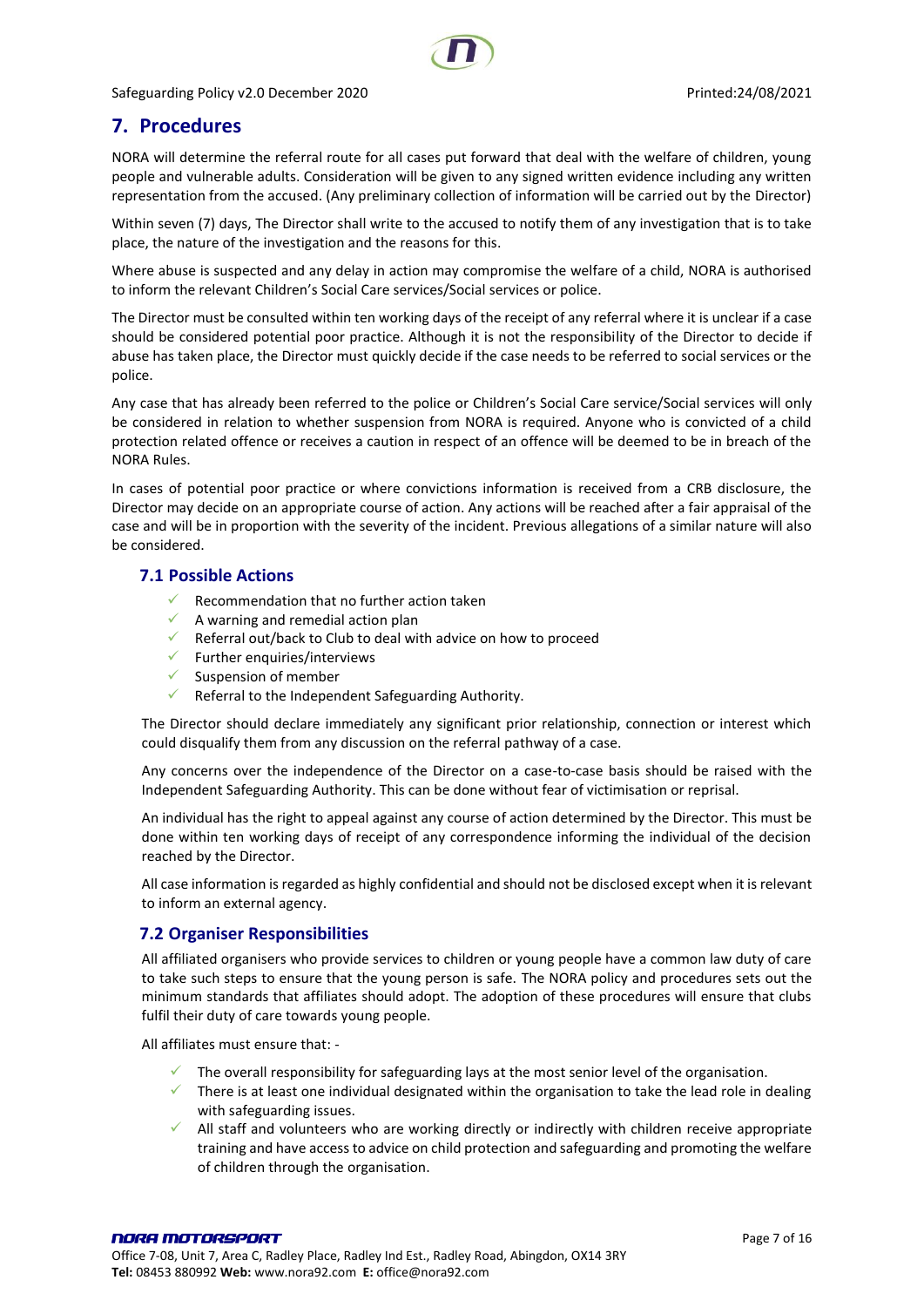# <span id="page-6-0"></span>**7. Procedures**

NORA will determine the referral route for all cases put forward that deal with the welfare of children, young people and vulnerable adults. Consideration will be given to any signed written evidence including any written representation from the accused. (Any preliminary collection of information will be carried out by the Director)

Within seven (7) days, The Director shall write to the accused to notify them of any investigation that is to take place, the nature of the investigation and the reasons for this.

Where abuse is suspected and any delay in action may compromise the welfare of a child, NORA is authorised to inform the relevant Children's Social Care services/Social services or police.

The Director must be consulted within ten working days of the receipt of any referral where it is unclear if a case should be considered potential poor practice. Although it is not the responsibility of the Director to decide if abuse has taken place, the Director must quickly decide if the case needs to be referred to social services or the police.

Any case that has already been referred to the police or Children's Social Care service/Social services will only be considered in relation to whether suspension from NORA is required. Anyone who is convicted of a child protection related offence or receives a caution in respect of an offence will be deemed to be in breach of the NORA Rules.

In cases of potential poor practice or where convictions information is received from a CRB disclosure, the Director may decide on an appropriate course of action. Any actions will be reached after a fair appraisal of the case and will be in proportion with the severity of the incident. Previous allegations of a similar nature will also be considered.

#### <span id="page-6-1"></span>**7.1 Possible Actions**

- Recommendation that no further action taken
- A warning and remedial action plan
- Referral out/back to Club to deal with advice on how to proceed
- $\checkmark$  Further enquiries/interviews
- $\checkmark$  Suspension of member
- $\checkmark$  Referral to the Independent Safeguarding Authority.

The Director should declare immediately any significant prior relationship, connection or interest which could disqualify them from any discussion on the referral pathway of a case.

Any concerns over the independence of the Director on a case-to-case basis should be raised with the Independent Safeguarding Authority. This can be done without fear of victimisation or reprisal.

An individual has the right to appeal against any course of action determined by the Director. This must be done within ten working days of receipt of any correspondence informing the individual of the decision reached by the Director.

All case information is regarded as highly confidential and should not be disclosed except when it is relevant to inform an external agency.

## <span id="page-6-2"></span>**7.2 Organiser Responsibilities**

All affiliated organisers who provide services to children or young people have a common law duty of care to take such steps to ensure that the young person is safe. The NORA policy and procedures sets out the minimum standards that affiliates should adopt. The adoption of these procedures will ensure that clubs fulfil their duty of care towards young people.

All affiliates must ensure that: -

- The overall responsibility for safeguarding lays at the most senior level of the organisation.
- $\checkmark$  There is at least one individual designated within the organisation to take the lead role in dealing with safeguarding issues.
- All staff and volunteers who are working directly or indirectly with children receive appropriate training and have access to advice on child protection and safeguarding and promoting the welfare of children through the organisation.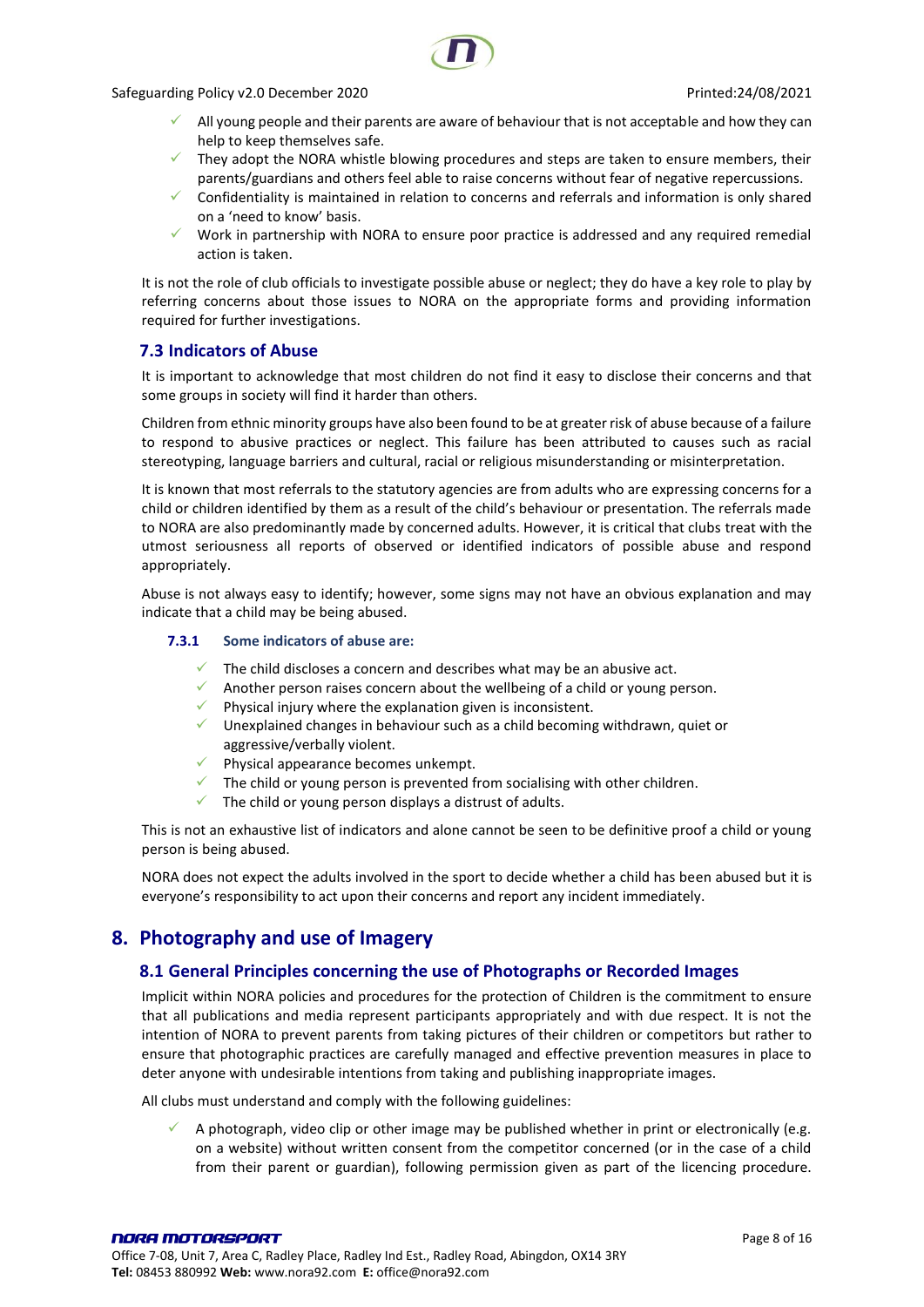- All young people and their parents are aware of behaviour that is not acceptable and how they can help to keep themselves safe.
- They adopt the NORA whistle blowing procedures and steps are taken to ensure members, their parents/guardians and others feel able to raise concerns without fear of negative repercussions.
- ✓ Confidentiality is maintained in relation to concerns and referrals and information is only shared on a 'need to know' basis.
- $\checkmark$  Work in partnership with NORA to ensure poor practice is addressed and any required remedial action is taken.

It is not the role of club officials to investigate possible abuse or neglect; they do have a key role to play by referring concerns about those issues to NORA on the appropriate forms and providing information required for further investigations.

#### <span id="page-7-0"></span>**7.3 Indicators of Abuse**

It is important to acknowledge that most children do not find it easy to disclose their concerns and that some groups in society will find it harder than others.

Children from ethnic minority groups have also been found to be at greater risk of abuse because of a failure to respond to abusive practices or neglect. This failure has been attributed to causes such as racial stereotyping, language barriers and cultural, racial or religious misunderstanding or misinterpretation.

It is known that most referrals to the statutory agencies are from adults who are expressing concerns for a child or children identified by them as a result of the child's behaviour or presentation. The referrals made to NORA are also predominantly made by concerned adults. However, it is critical that clubs treat with the utmost seriousness all reports of observed or identified indicators of possible abuse and respond appropriately.

<span id="page-7-1"></span>Abuse is not always easy to identify; however, some signs may not have an obvious explanation and may indicate that a child may be being abused.

#### **7.3.1 Some indicators of abuse are:**

- $\checkmark$  The child discloses a concern and describes what may be an abusive act.
- Another person raises concern about the wellbeing of a child or young person.
- Physical injury where the explanation given is inconsistent.
- $\checkmark$  Unexplained changes in behaviour such as a child becoming withdrawn, quiet or aggressive/verbally violent.
- Physical appearance becomes unkempt.
- $\checkmark$  The child or young person is prevented from socialising with other children.
- The child or young person displays a distrust of adults.

This is not an exhaustive list of indicators and alone cannot be seen to be definitive proof a child or young person is being abused.

NORA does not expect the adults involved in the sport to decide whether a child has been abused but it is everyone's responsibility to act upon their concerns and report any incident immediately.

## <span id="page-7-2"></span>**8. Photography and use of Imagery**

## <span id="page-7-3"></span>**8.1 General Principles concerning the use of Photographs or Recorded Images**

Implicit within NORA policies and procedures for the protection of Children is the commitment to ensure that all publications and media represent participants appropriately and with due respect. It is not the intention of NORA to prevent parents from taking pictures of their children or competitors but rather to ensure that photographic practices are carefully managed and effective prevention measures in place to deter anyone with undesirable intentions from taking and publishing inappropriate images.

All clubs must understand and comply with the following guidelines:

A photograph, video clip or other image may be published whether in print or electronically (e.g. on a website) without written consent from the competitor concerned (or in the case of a child from their parent or guardian), following permission given as part of the licencing procedure.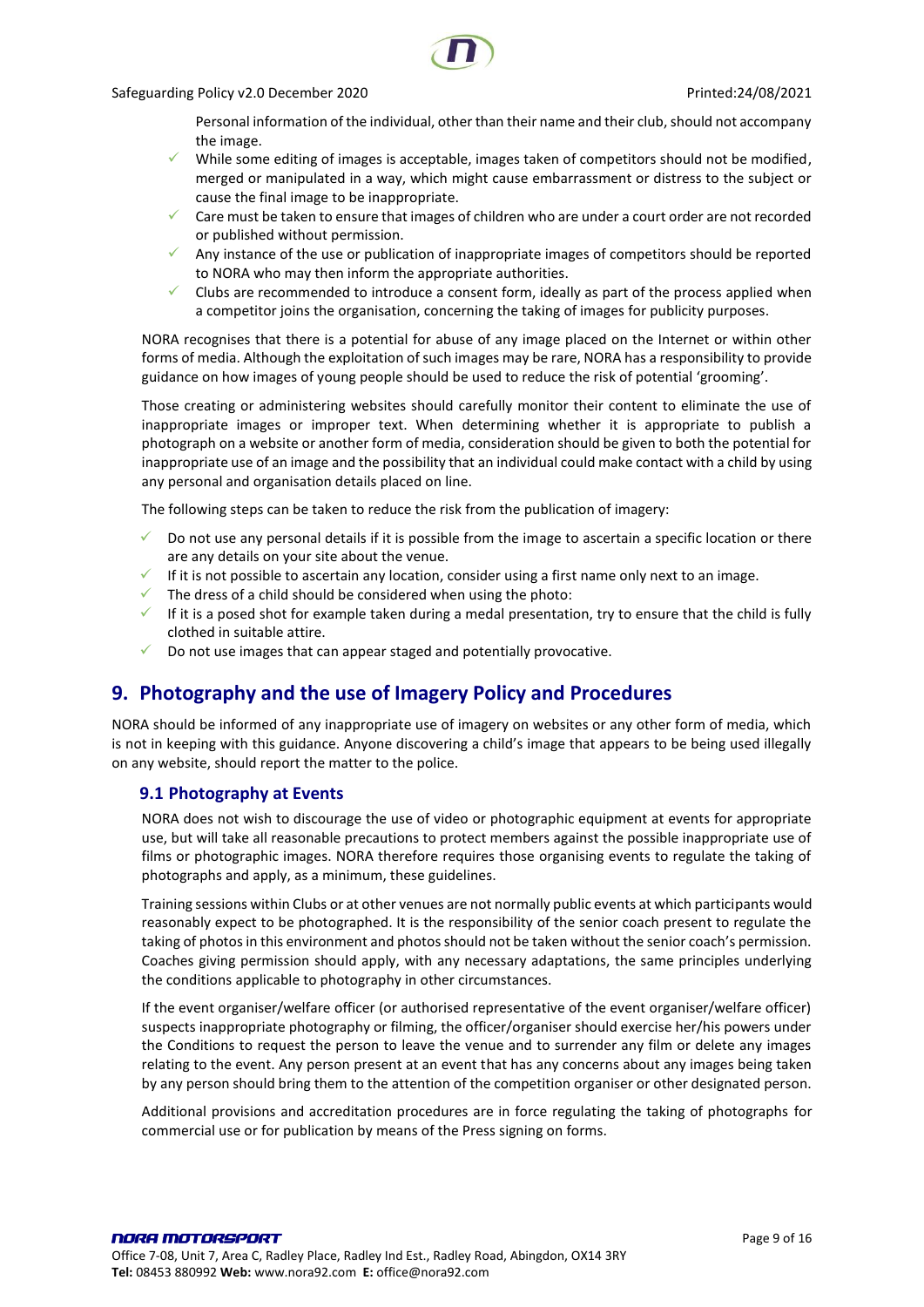Personal information of the individual, other than their name and their club, should not accompany the image.

- While some editing of images is acceptable, images taken of competitors should not be modified, merged or manipulated in a way, which might cause embarrassment or distress to the subject or cause the final image to be inappropriate.
- $\checkmark$  Care must be taken to ensure that images of children who are under a court order are not recorded or published without permission.
- Any instance of the use or publication of inappropriate images of competitors should be reported to NORA who may then inform the appropriate authorities.
- Clubs are recommended to introduce a consent form, ideally as part of the process applied when a competitor joins the organisation, concerning the taking of images for publicity purposes.

NORA recognises that there is a potential for abuse of any image placed on the Internet or within other forms of media. Although the exploitation of such images may be rare, NORA has a responsibility to provide guidance on how images of young people should be used to reduce the risk of potential 'grooming'.

Those creating or administering websites should carefully monitor their content to eliminate the use of inappropriate images or improper text. When determining whether it is appropriate to publish a photograph on a website or another form of media, consideration should be given to both the potential for inappropriate use of an image and the possibility that an individual could make contact with a child by using any personal and organisation details placed on line.

The following steps can be taken to reduce the risk from the publication of imagery:

- $\checkmark$  Do not use any personal details if it is possible from the image to ascertain a specific location or there are any details on your site about the venue.
- If it is not possible to ascertain any location, consider using a first name only next to an image.
- $\checkmark$  The dress of a child should be considered when using the photo:
- $\checkmark$  If it is a posed shot for example taken during a medal presentation, try to ensure that the child is fully clothed in suitable attire.
- ✓ Do not use images that can appear staged and potentially provocative.

## <span id="page-8-0"></span>**9. Photography and the use of Imagery Policy and Procedures**

NORA should be informed of any inappropriate use of imagery on websites or any other form of media, which is not in keeping with this guidance. Anyone discovering a child's image that appears to be being used illegally on any website, should report the matter to the police.

## <span id="page-8-1"></span>**9.1 Photography at Events**

NORA does not wish to discourage the use of video or photographic equipment at events for appropriate use, but will take all reasonable precautions to protect members against the possible inappropriate use of films or photographic images. NORA therefore requires those organising events to regulate the taking of photographs and apply, as a minimum, these guidelines.

Training sessions within Clubs or at other venues are not normally public events at which participants would reasonably expect to be photographed. It is the responsibility of the senior coach present to regulate the taking of photos in this environment and photos should not be taken without the senior coach's permission. Coaches giving permission should apply, with any necessary adaptations, the same principles underlying the conditions applicable to photography in other circumstances.

If the event organiser/welfare officer (or authorised representative of the event organiser/welfare officer) suspects inappropriate photography or filming, the officer/organiser should exercise her/his powers under the Conditions to request the person to leave the venue and to surrender any film or delete any images relating to the event. Any person present at an event that has any concerns about any images being taken by any person should bring them to the attention of the competition organiser or other designated person.

Additional provisions and accreditation procedures are in force regulating the taking of photographs for commercial use or for publication by means of the Press signing on forms.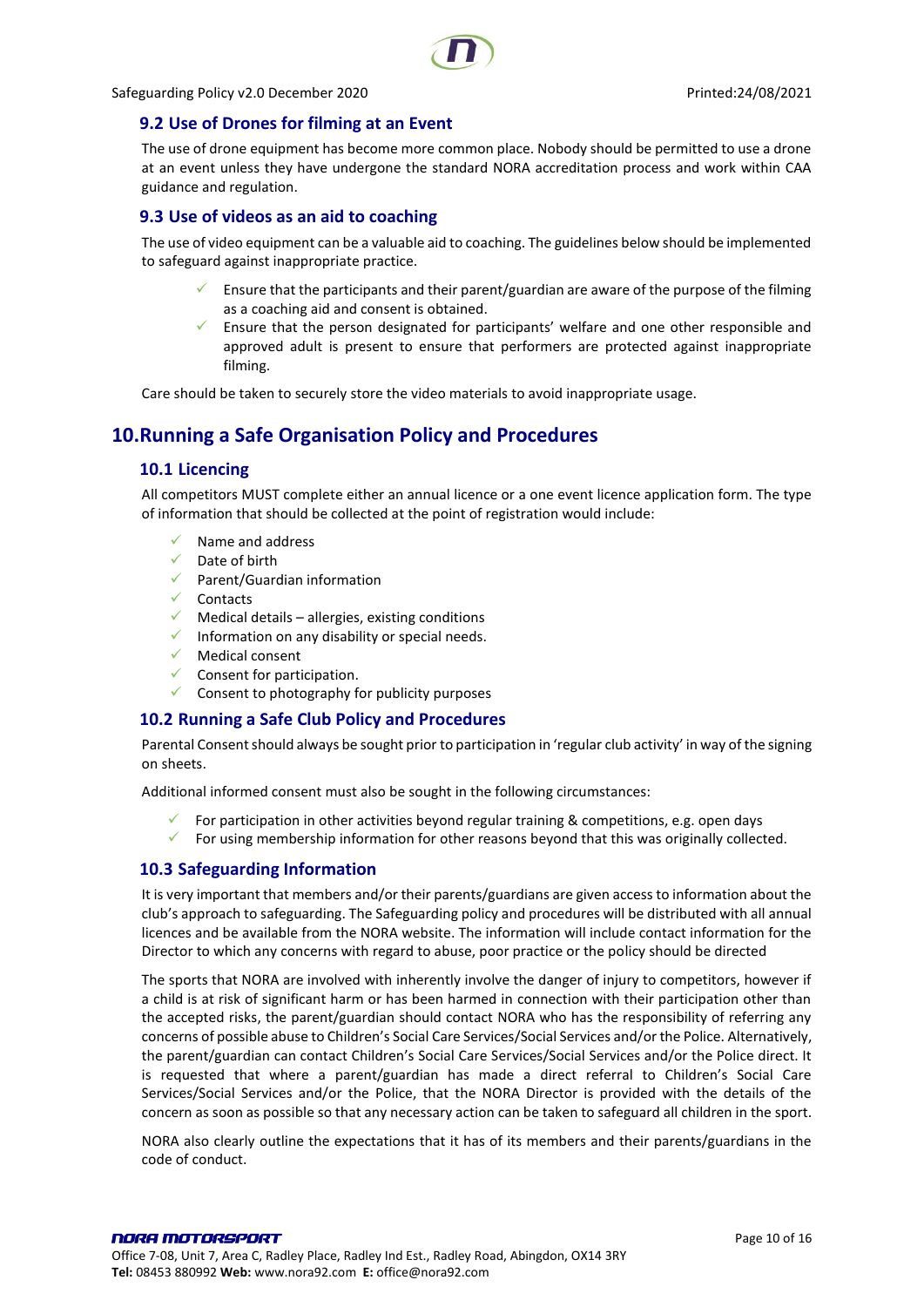



## <span id="page-9-0"></span>**9.2 Use of Drones for filming at an Event**

The use of drone equipment has become more common place. Nobody should be permitted to use a drone at an event unless they have undergone the standard NORA accreditation process and work within CAA guidance and regulation.

## <span id="page-9-1"></span>**9.3 Use of videos as an aid to coaching**

The use of video equipment can be a valuable aid to coaching. The guidelines below should be implemented to safeguard against inappropriate practice.

- $\checkmark$  Ensure that the participants and their parent/guardian are aware of the purpose of the filming as a coaching aid and consent is obtained.
- Ensure that the person designated for participants' welfare and one other responsible and approved adult is present to ensure that performers are protected against inappropriate filming.

Care should be taken to securely store the video materials to avoid inappropriate usage.

# <span id="page-9-3"></span><span id="page-9-2"></span>**10.Running a Safe Organisation Policy and Procedures**

## **10.1 Licencing**

All competitors MUST complete either an annual licence or a one event licence application form. The type of information that should be collected at the point of registration would include:

- Name and address
- ✓ Date of birth
- ✓ Parent/Guardian information
- ✓ Contacts
- $\checkmark$  Medical details allergies, existing conditions
- Information on any disability or special needs.
- ✓ Medical consent
- $\checkmark$  Consent for participation.
- Consent to photography for publicity purposes

## <span id="page-9-4"></span>**10.2 Running a Safe Club Policy and Procedures**

Parental Consent should always be sought prior to participation in 'regular club activity' in way of the signing on sheets.

Additional informed consent must also be sought in the following circumstances:

- For participation in other activities beyond regular training & competitions, e.g. open days
- $\checkmark$  For using membership information for other reasons beyond that this was originally collected.

## <span id="page-9-5"></span>**10.3 Safeguarding Information**

It is very important that members and/or their parents/guardians are given access to information about the club's approach to safeguarding. The Safeguarding policy and procedures will be distributed with all annual licences and be available from the NORA website. The information will include contact information for the Director to which any concerns with regard to abuse, poor practice or the policy should be directed

The sports that NORA are involved with inherently involve the danger of injury to competitors, however if a child is at risk of significant harm or has been harmed in connection with their participation other than the accepted risks, the parent/guardian should contact NORA who has the responsibility of referring any concerns of possible abuse to Children's Social Care Services/Social Services and/or the Police. Alternatively, the parent/guardian can contact Children's Social Care Services/Social Services and/or the Police direct. It is requested that where a parent/guardian has made a direct referral to Children's Social Care Services/Social Services and/or the Police, that the NORA Director is provided with the details of the concern as soon as possible so that any necessary action can be taken to safeguard all children in the sport.

NORA also clearly outline the expectations that it has of its members and their parents/guardians in the code of conduct.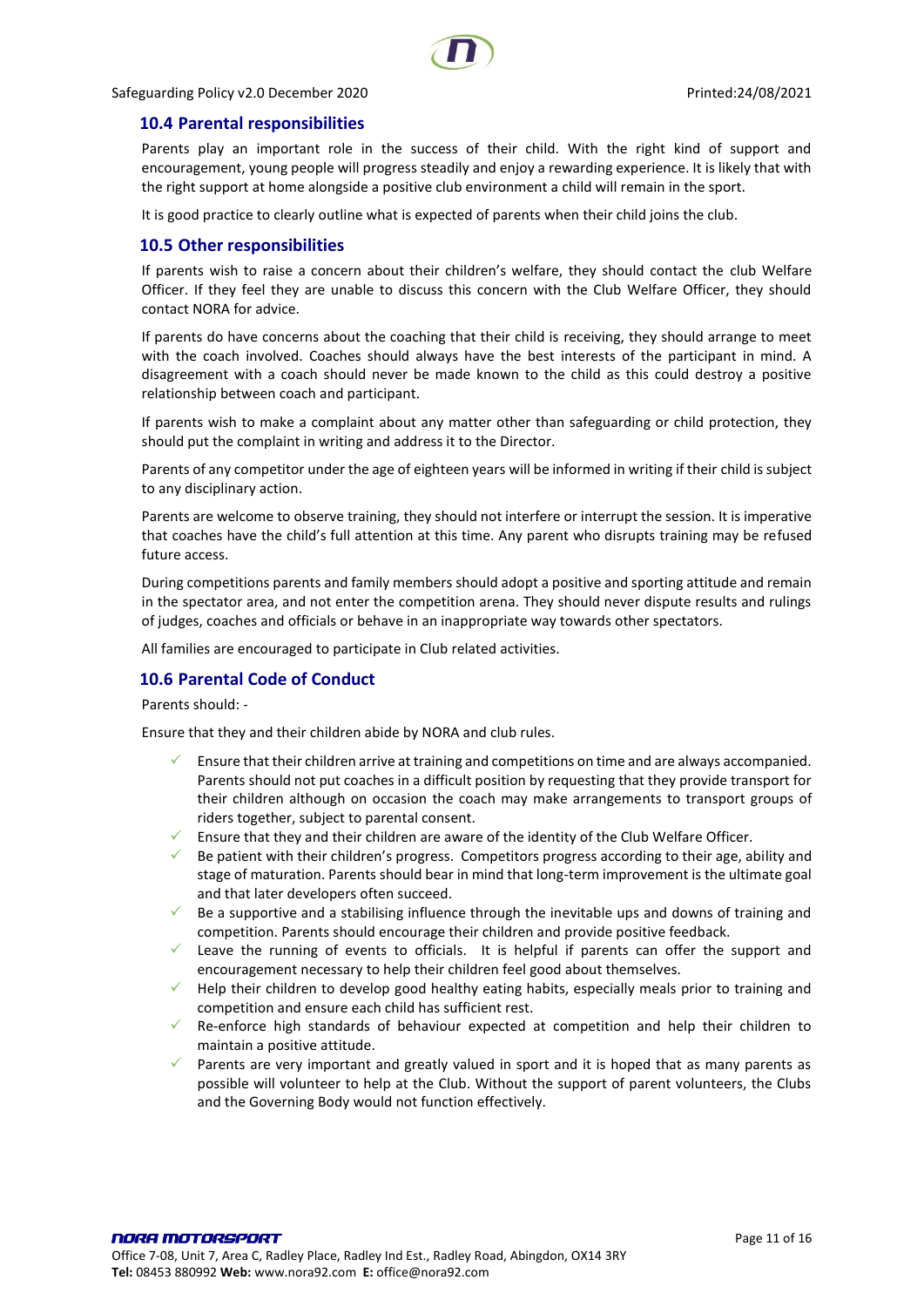#### <span id="page-10-0"></span>**10.4 Parental responsibilities**

Parents play an important role in the success of their child. With the right kind of support and encouragement, young people will progress steadily and enjoy a rewarding experience. It is likely that with the right support at home alongside a positive club environment a child will remain in the sport.

It is good practice to clearly outline what is expected of parents when their child joins the club.

#### <span id="page-10-1"></span>**10.5 Other responsibilities**

If parents wish to raise a concern about their children's welfare, they should contact the club Welfare Officer. If they feel they are unable to discuss this concern with the Club Welfare Officer, they should contact NORA for advice.

If parents do have concerns about the coaching that their child is receiving, they should arrange to meet with the coach involved. Coaches should always have the best interests of the participant in mind. A disagreement with a coach should never be made known to the child as this could destroy a positive relationship between coach and participant.

If parents wish to make a complaint about any matter other than safeguarding or child protection, they should put the complaint in writing and address it to the Director.

Parents of any competitor under the age of eighteen years will be informed in writing if their child is subject to any disciplinary action.

Parents are welcome to observe training, they should not interfere or interrupt the session. It is imperative that coaches have the child's full attention at this time. Any parent who disrupts training may be refused future access.

During competitions parents and family members should adopt a positive and sporting attitude and remain in the spectator area, and not enter the competition arena. They should never dispute results and rulings of judges, coaches and officials or behave in an inappropriate way towards other spectators.

All families are encouraged to participate in Club related activities.

#### <span id="page-10-2"></span>**10.6 Parental Code of Conduct**

Parents should: -

Ensure that they and their children abide by NORA and club rules.

- ✓ Ensure that their children arrive at training and competitions on time and are always accompanied. Parents should not put coaches in a difficult position by requesting that they provide transport for their children although on occasion the coach may make arrangements to transport groups of riders together, subject to parental consent.
- Ensure that they and their children are aware of the identity of the Club Welfare Officer.
- Be patient with their children's progress. Competitors progress according to their age, ability and stage of maturation. Parents should bear in mind that long-term improvement is the ultimate goal and that later developers often succeed.
- $\checkmark$  Be a supportive and a stabilising influence through the inevitable ups and downs of training and competition. Parents should encourage their children and provide positive feedback.
- Leave the running of events to officials. It is helpful if parents can offer the support and encouragement necessary to help their children feel good about themselves.
- $\checkmark$  Help their children to develop good healthy eating habits, especially meals prior to training and competition and ensure each child has sufficient rest.
- Re-enforce high standards of behaviour expected at competition and help their children to maintain a positive attitude.
- Parents are very important and greatly valued in sport and it is hoped that as many parents as possible will volunteer to help at the Club. Without the support of parent volunteers, the Clubs and the Governing Body would not function effectively.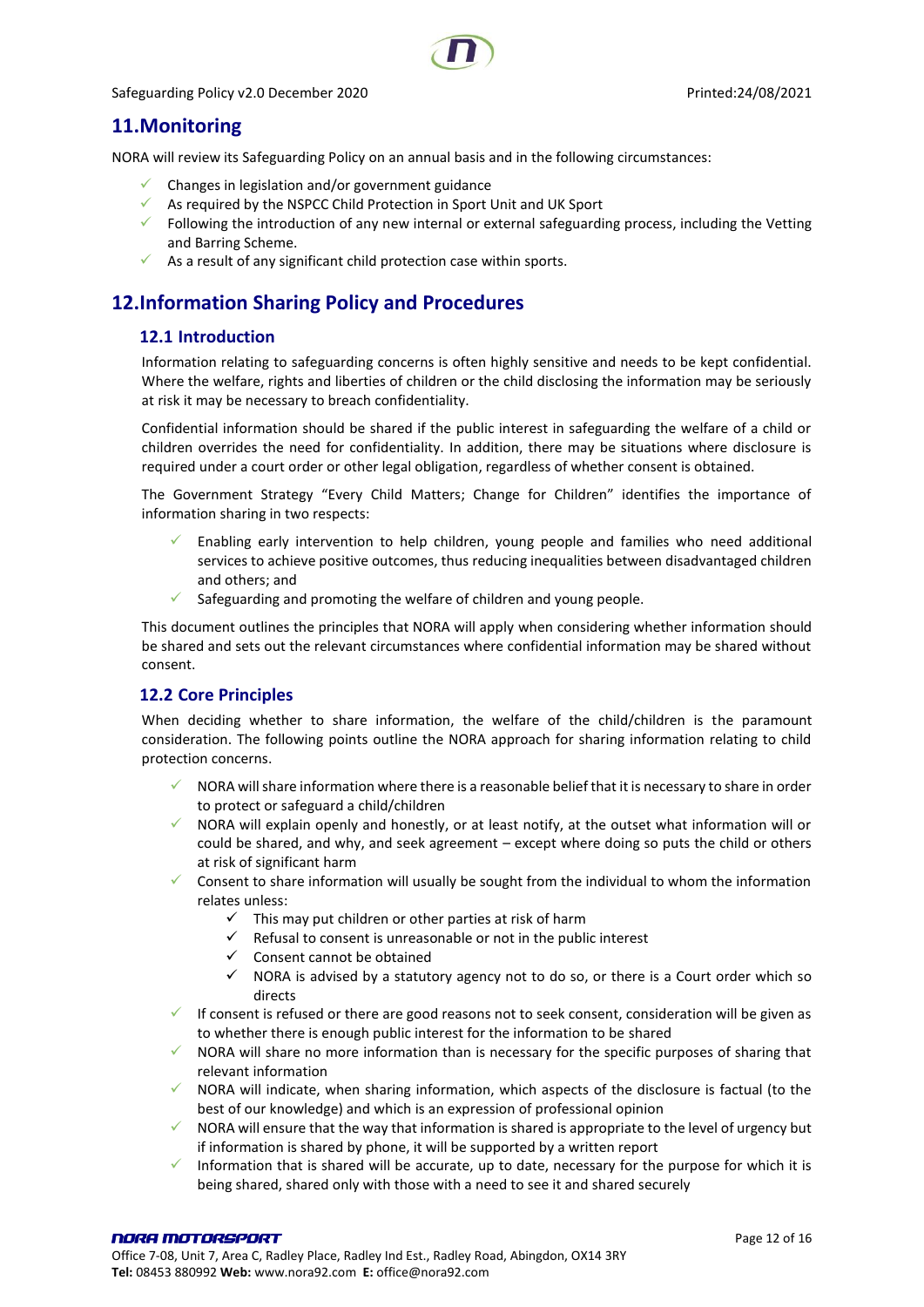## <span id="page-11-0"></span>**11.Monitoring**

NORA will review its Safeguarding Policy on an annual basis and in the following circumstances:

- $\checkmark$  Changes in legislation and/or government guidance
- $\checkmark$  As required by the NSPCC Child Protection in Sport Unit and UK Sport
- ✓ Following the introduction of any new internal or external safeguarding process, including the Vetting and Barring Scheme.
- $\checkmark$  As a result of any significant child protection case within sports.

# <span id="page-11-1"></span>**12.Information Sharing Policy and Procedures**

## <span id="page-11-2"></span>**12.1 Introduction**

Information relating to safeguarding concerns is often highly sensitive and needs to be kept confidential. Where the welfare, rights and liberties of children or the child disclosing the information may be seriously at risk it may be necessary to breach confidentiality.

Confidential information should be shared if the public interest in safeguarding the welfare of a child or children overrides the need for confidentiality. In addition, there may be situations where disclosure is required under a court order or other legal obligation, regardless of whether consent is obtained.

The Government Strategy "Every Child Matters; Change for Children" identifies the importance of information sharing in two respects:

- Enabling early intervention to help children, young people and families who need additional services to achieve positive outcomes, thus reducing inequalities between disadvantaged children and others; and
- $\checkmark$  Safeguarding and promoting the welfare of children and young people.

This document outlines the principles that NORA will apply when considering whether information should be shared and sets out the relevant circumstances where confidential information may be shared without consent.

## <span id="page-11-3"></span>**12.2 Core Principles**

When deciding whether to share information, the welfare of the child/children is the paramount consideration. The following points outline the NORA approach for sharing information relating to child protection concerns.

- NORA will share information where there is a reasonable belief that it is necessary to share in order to protect or safeguard a child/children
- NORA will explain openly and honestly, or at least notify, at the outset what information will or could be shared, and why, and seek agreement – except where doing so puts the child or others at risk of significant harm
- Consent to share information will usually be sought from the individual to whom the information relates unless:
	- $\checkmark$  This may put children or other parties at risk of harm
	- $\checkmark$  Refusal to consent is unreasonable or not in the public interest
	- ✓ Consent cannot be obtained
	- $\checkmark$  NORA is advised by a statutory agency not to do so, or there is a Court order which so directs
- $\checkmark$  If consent is refused or there are good reasons not to seek consent, consideration will be given as to whether there is enough public interest for the information to be shared
- NORA will share no more information than is necessary for the specific purposes of sharing that relevant information
- NORA will indicate, when sharing information, which aspects of the disclosure is factual (to the best of our knowledge) and which is an expression of professional opinion
- $\checkmark$  NORA will ensure that the way that information is shared is appropriate to the level of urgency but if information is shared by phone, it will be supported by a written report
- Information that is shared will be accurate, up to date, necessary for the purpose for which it is being shared, shared only with those with a need to see it and shared securely

#### NORA MOTORSPORT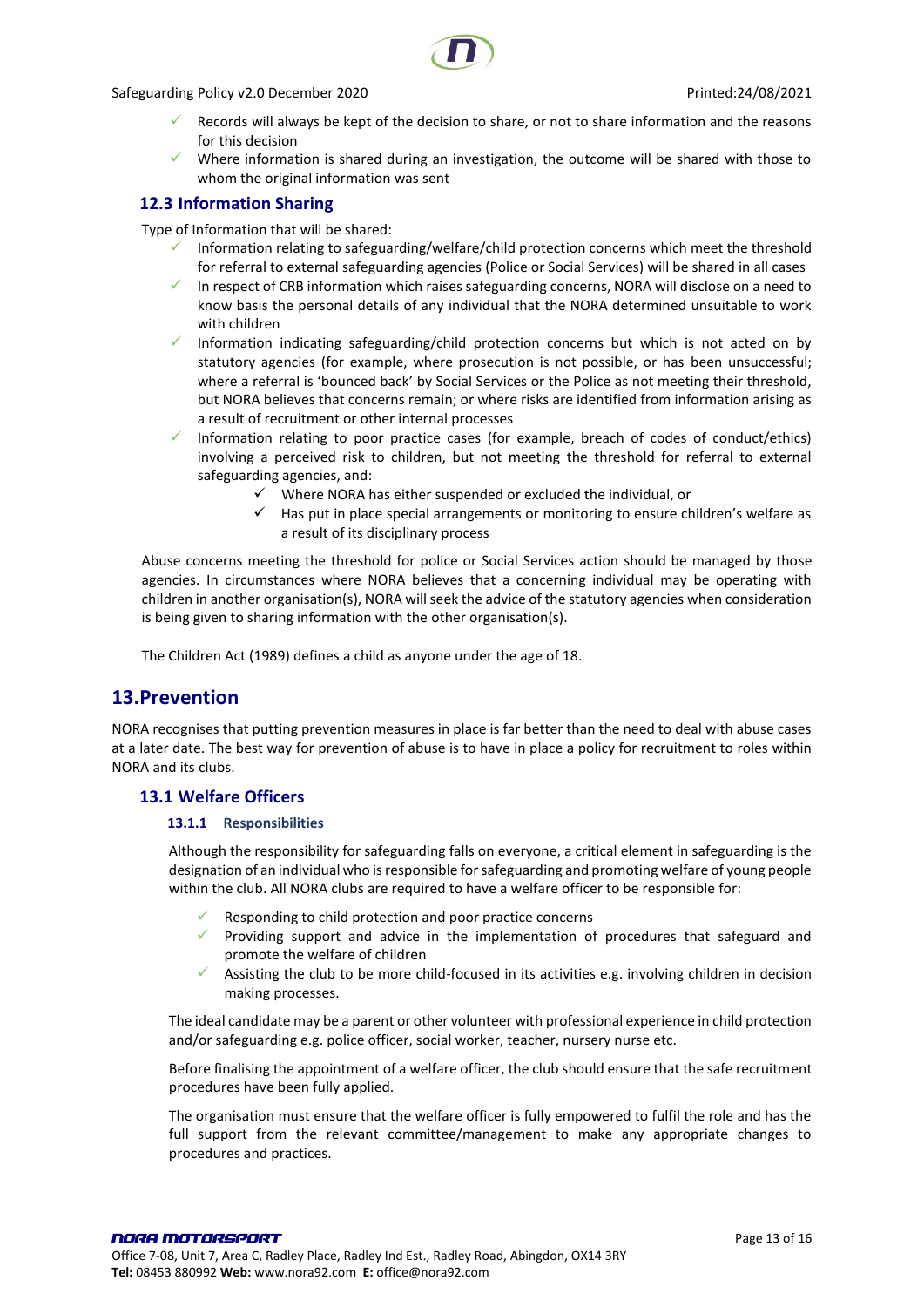

- Records will always be kept of the decision to share, or not to share information and the reasons for this decision
- Where information is shared during an investigation, the outcome will be shared with those to whom the original information was sent

## <span id="page-12-0"></span>**12.3 Information Sharing**

Type of Information that will be shared:

- Information relating to safeguarding/welfare/child protection concerns which meet the threshold for referral to external safeguarding agencies (Police or Social Services) will be shared in all cases
- In respect of CRB information which raises safeguarding concerns, NORA will disclose on a need to know basis the personal details of any individual that the NORA determined unsuitable to work with children
- ✓ Information indicating safeguarding/child protection concerns but which is not acted on by statutory agencies (for example, where prosecution is not possible, or has been unsuccessful; where a referral is 'bounced back' by Social Services or the Police as not meeting their threshold, but NORA believes that concerns remain; or where risks are identified from information arising as a result of recruitment or other internal processes
- ✓ Information relating to poor practice cases (for example, breach of codes of conduct/ethics) involving a perceived risk to children, but not meeting the threshold for referral to external safeguarding agencies, and:
	- Where NORA has either suspended or excluded the individual, or
	- $\checkmark$  Has put in place special arrangements or monitoring to ensure children's welfare as a result of its disciplinary process

Abuse concerns meeting the threshold for police or Social Services action should be managed by those agencies. In circumstances where NORA believes that a concerning individual may be operating with children in another organisation(s), NORA will seek the advice of the statutory agencies when consideration is being given to sharing information with the other organisation(s).

The Children Act (1989) defines a child as anyone under the age of 18.

## <span id="page-12-1"></span>**13.Prevention**

NORA recognises that putting prevention measures in place is far better than the need to deal with abuse cases at a later date. The best way for prevention of abuse is to have in place a policy for recruitment to roles within NORA and its clubs.

## <span id="page-12-3"></span><span id="page-12-2"></span>**13.1 Welfare Officers**

#### **13.1.1 Responsibilities**

Although the responsibility for safeguarding falls on everyone, a critical element in safeguarding is the designation of an individual who is responsible for safeguarding and promoting welfare of young people within the club. All NORA clubs are required to have a welfare officer to be responsible for:

- $\checkmark$  Responding to child protection and poor practice concerns
- $\checkmark$  Providing support and advice in the implementation of procedures that safeguard and promote the welfare of children
- $\checkmark$  Assisting the club to be more child-focused in its activities e.g. involving children in decision making processes.

The ideal candidate may be a parent or other volunteer with professional experience in child protection and/or safeguarding e.g. police officer, social worker, teacher, nursery nurse etc.

Before finalising the appointment of a welfare officer, the club should ensure that the safe recruitment procedures have been fully applied.

The organisation must ensure that the welfare officer is fully empowered to fulfil the role and has the full support from the relevant committee/management to make any appropriate changes to procedures and practices.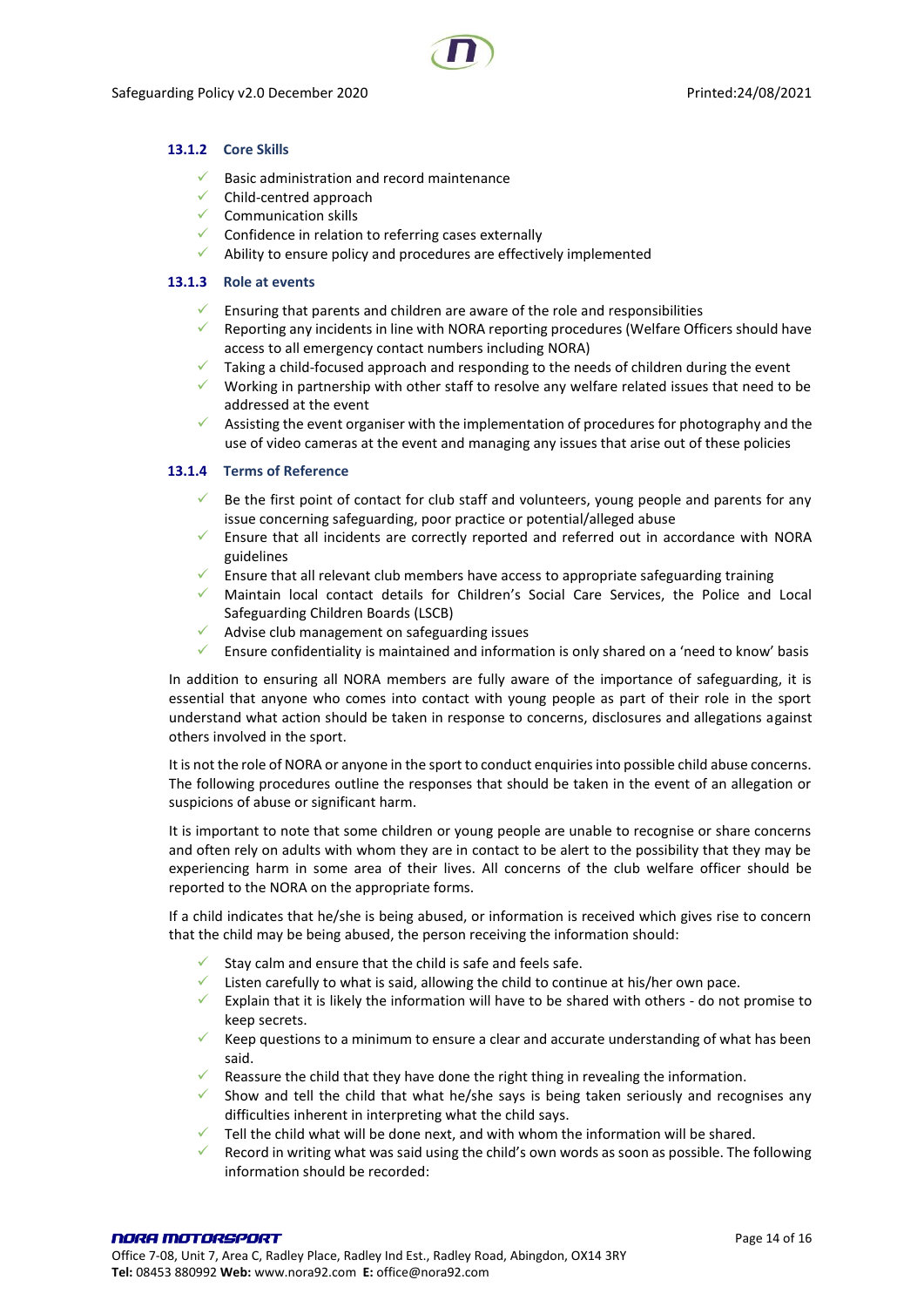#### <span id="page-13-0"></span>**13.1.2 Core Skills**

- $\checkmark$  Basic administration and record maintenance
- $\checkmark$  Child-centred approach
- $\checkmark$  Communication skills
- ✓ Confidence in relation to referring cases externally
- $\checkmark$  Ability to ensure policy and procedures are effectively implemented

#### <span id="page-13-1"></span>**13.1.3 Role at events**

- $\checkmark$  Ensuring that parents and children are aware of the role and responsibilities
- ✓ Reporting any incidents in line with NORA reporting procedures (Welfare Officers should have access to all emergency contact numbers including NORA)
- Taking a child-focused approach and responding to the needs of children during the event
- $\checkmark$  Working in partnership with other staff to resolve any welfare related issues that need to be addressed at the event
- $\checkmark$  Assisting the event organiser with the implementation of procedures for photography and the use of video cameras at the event and managing any issues that arise out of these policies

#### <span id="page-13-2"></span>**13.1.4 Terms of Reference**

- $\checkmark$  Be the first point of contact for club staff and volunteers, young people and parents for any issue concerning safeguarding, poor practice or potential/alleged abuse
- $\checkmark$  Ensure that all incidents are correctly reported and referred out in accordance with NORA guidelines
- $\checkmark$  Ensure that all relevant club members have access to appropriate safeguarding training
- ✓ Maintain local contact details for Children's Social Care Services, the Police and Local Safeguarding Children Boards (LSCB)
- $\checkmark$  Advise club management on safeguarding issues
- ✓ Ensure confidentiality is maintained and information is only shared on a 'need to know' basis

In addition to ensuring all NORA members are fully aware of the importance of safeguarding, it is essential that anyone who comes into contact with young people as part of their role in the sport understand what action should be taken in response to concerns, disclosures and allegations against others involved in the sport.

It is not the role of NORA or anyone in the sport to conduct enquiries into possible child abuse concerns. The following procedures outline the responses that should be taken in the event of an allegation or suspicions of abuse or significant harm.

It is important to note that some children or young people are unable to recognise or share concerns and often rely on adults with whom they are in contact to be alert to the possibility that they may be experiencing harm in some area of their lives. All concerns of the club welfare officer should be reported to the NORA on the appropriate forms.

If a child indicates that he/she is being abused, or information is received which gives rise to concern that the child may be being abused, the person receiving the information should:

- Stay calm and ensure that the child is safe and feels safe.
- $\checkmark$  Listen carefully to what is said, allowing the child to continue at his/her own pace.
- ✓ Explain that it is likely the information will have to be shared with others do not promise to keep secrets.
- $\checkmark$  Keep questions to a minimum to ensure a clear and accurate understanding of what has been said.
- $\checkmark$  Reassure the child that they have done the right thing in revealing the information.
- ✓ Show and tell the child that what he/she says is being taken seriously and recognises any difficulties inherent in interpreting what the child says.
- $\checkmark$  Tell the child what will be done next, and with whom the information will be shared.
- ✓ Record in writing what was said using the child's own words as soon as possible. The following information should be recorded: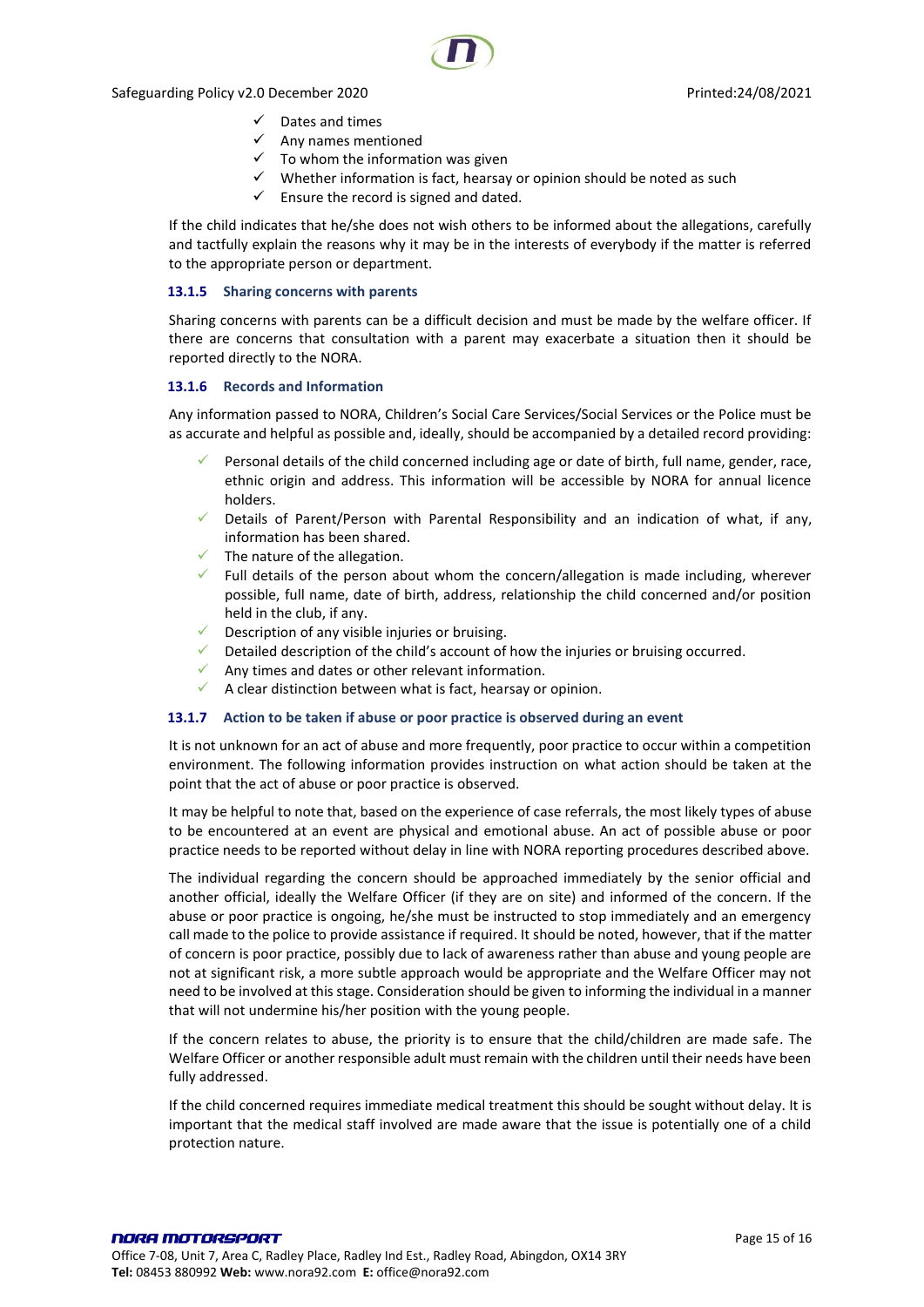- Dates and times
- ✓ Any names mentioned
- To whom the information was given
- ✓ Whether information is fact, hearsay or opinion should be noted as such
- $\checkmark$  Ensure the record is signed and dated.

If the child indicates that he/she does not wish others to be informed about the allegations, carefully and tactfully explain the reasons why it may be in the interests of everybody if the matter is referred to the appropriate person or department.

#### <span id="page-14-0"></span>**13.1.5 Sharing concerns with parents**

Sharing concerns with parents can be a difficult decision and must be made by the welfare officer. If there are concerns that consultation with a parent may exacerbate a situation then it should be reported directly to the NORA.

#### <span id="page-14-1"></span>**13.1.6 Records and Information**

Any information passed to NORA, Children's Social Care Services/Social Services or the Police must be as accurate and helpful as possible and, ideally, should be accompanied by a detailed record providing:

- Personal details of the child concerned including age or date of birth, full name, gender, race, ethnic origin and address. This information will be accessible by NORA for annual licence holders.
- $\checkmark$  Details of Parent/Person with Parental Responsibility and an indication of what, if any, information has been shared.
- $\checkmark$  The nature of the allegation.
- $\checkmark$  Full details of the person about whom the concern/allegation is made including, wherever possible, full name, date of birth, address, relationship the child concerned and/or position held in the club, if any.
- $\checkmark$  Description of any visible injuries or bruising.
- ✓ Detailed description of the child's account of how the injuries or bruising occurred.
- ✓ Any times and dates or other relevant information.
- $\checkmark$  A clear distinction between what is fact, hearsay or opinion.

#### <span id="page-14-2"></span>**13.1.7 Action to be taken if abuse or poor practice is observed during an event**

It is not unknown for an act of abuse and more frequently, poor practice to occur within a competition environment. The following information provides instruction on what action should be taken at the point that the act of abuse or poor practice is observed.

It may be helpful to note that, based on the experience of case referrals, the most likely types of abuse to be encountered at an event are physical and emotional abuse. An act of possible abuse or poor practice needs to be reported without delay in line with NORA reporting procedures described above.

The individual regarding the concern should be approached immediately by the senior official and another official, ideally the Welfare Officer (if they are on site) and informed of the concern. If the abuse or poor practice is ongoing, he/she must be instructed to stop immediately and an emergency call made to the police to provide assistance if required. It should be noted, however, that if the matter of concern is poor practice, possibly due to lack of awareness rather than abuse and young people are not at significant risk, a more subtle approach would be appropriate and the Welfare Officer may not need to be involved at this stage. Consideration should be given to informing the individual in a manner that will not undermine his/her position with the young people.

If the concern relates to abuse, the priority is to ensure that the child/children are made safe. The Welfare Officer or another responsible adult must remain with the children until their needs have been fully addressed.

If the child concerned requires immediate medical treatment this should be sought without delay. It is important that the medical staff involved are made aware that the issue is potentially one of a child protection nature.